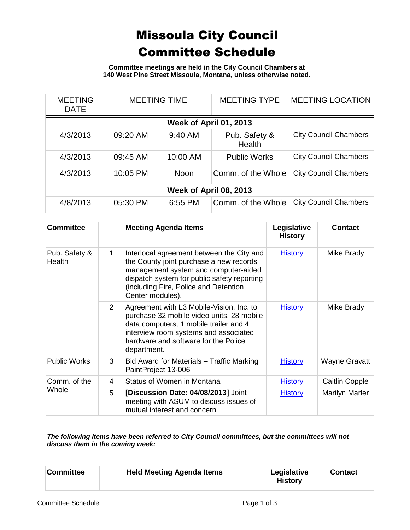## Missoula City Council Committee Schedule

**Committee meetings are held in the City Council Chambers at 140 West Pine Street Missoula, Montana, unless otherwise noted.**

| <b>MEETING</b><br><b>DATE</b> | <b>MEETING TIME</b> |             | <b>MEETING TYPE</b>     | <b>MEETING LOCATION</b>      |  |
|-------------------------------|---------------------|-------------|-------------------------|------------------------------|--|
| Week of April 01, 2013        |                     |             |                         |                              |  |
| 4/3/2013                      | 09:20 AM            | 9:40 AM     | Pub. Safety &<br>Health | <b>City Council Chambers</b> |  |
| 4/3/2013                      | 09:45 AM            | 10:00 AM    | <b>Public Works</b>     | <b>City Council Chambers</b> |  |
| 4/3/2013                      | 10:05 PM            | <b>Noon</b> | Comm. of the Whole      | <b>City Council Chambers</b> |  |
| Week of April 08, 2013        |                     |             |                         |                              |  |
| 4/8/2013                      | 05:30 PM            | 6:55 PM     | Comm. of the Whole      | <b>City Council Chambers</b> |  |

| <b>Committee</b>        |             | <b>Meeting Agenda Items</b>                                                                                                                                                                                                              | Legislative<br><b>History</b> | <b>Contact</b> |
|-------------------------|-------------|------------------------------------------------------------------------------------------------------------------------------------------------------------------------------------------------------------------------------------------|-------------------------------|----------------|
| Pub. Safety &<br>Health | $\mathbf 1$ | Interlocal agreement between the City and<br>the County joint purchase a new records<br>management system and computer-aided<br>dispatch system for public safety reporting<br>(including Fire, Police and Detention<br>Center modules). | <b>History</b>                | Mike Brady     |
|                         | 2           | Agreement with L3 Mobile-Vision, Inc. to<br>purchase 32 mobile video units, 28 mobile<br>data computers, 1 mobile trailer and 4<br>interview room systems and associated<br>hardware and software for the Police<br>department.          | <b>History</b>                | Mike Brady     |
| <b>Public Works</b>     | 3           | Bid Award for Materials – Traffic Marking<br>PaintProject 13-006                                                                                                                                                                         | <b>History</b>                | Wayne Gravatt  |
| Comm. of the<br>Whole   | 4           | Status of Women in Montana                                                                                                                                                                                                               | <b>History</b>                | Caitlin Copple |
|                         | 5           | [Discussion Date: 04/08/2013] Joint<br>meeting with ASUM to discuss issues of<br>mutual interest and concern                                                                                                                             | <b>History</b>                | Marilyn Marler |

*The following items have been referred to City Council committees, but the committees will not discuss them in the coming week:*

| <b>Held Meeting Agenda Items</b><br>Committee | Legislative<br><b>History</b> | <b>Contact</b> |
|-----------------------------------------------|-------------------------------|----------------|
|-----------------------------------------------|-------------------------------|----------------|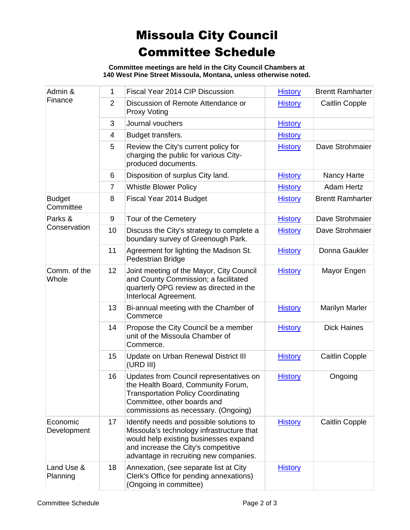## Missoula City Council Committee Schedule

**Committee meetings are held in the City Council Chambers at 140 West Pine Street Missoula, Montana, unless otherwise noted.**

| Admin &<br>Finance         | 1              | Fiscal Year 2014 CIP Discussion                                                                                                                                                                                 | <b>History</b> | <b>Brentt Ramharter</b> |
|----------------------------|----------------|-----------------------------------------------------------------------------------------------------------------------------------------------------------------------------------------------------------------|----------------|-------------------------|
|                            | $\overline{2}$ | Discussion of Remote Attendance or<br><b>Proxy Voting</b>                                                                                                                                                       | <b>History</b> | <b>Caitlin Copple</b>   |
|                            | 3              | Journal vouchers                                                                                                                                                                                                | <b>History</b> |                         |
|                            | 4              | Budget transfers.                                                                                                                                                                                               | <b>History</b> |                         |
|                            | 5              | Review the City's current policy for<br>charging the public for various City-<br>produced documents.                                                                                                            | <b>History</b> | Dave Strohmaier         |
|                            | 6              | Disposition of surplus City land.                                                                                                                                                                               | <b>History</b> | Nancy Harte             |
|                            | $\overline{7}$ | <b>Whistle Blower Policy</b>                                                                                                                                                                                    | <b>History</b> | <b>Adam Hertz</b>       |
| <b>Budget</b><br>Committee | 8              | Fiscal Year 2014 Budget                                                                                                                                                                                         | <b>History</b> | <b>Brentt Ramharter</b> |
| Parks &                    | 9              | Tour of the Cemetery                                                                                                                                                                                            | <b>History</b> | Dave Strohmaier         |
| Conservation               | 10             | Discuss the City's strategy to complete a<br>boundary survey of Greenough Park.                                                                                                                                 | <b>History</b> | Dave Strohmaier         |
|                            | 11             | Agreement for lighting the Madison St.<br>Pedestrian Bridge                                                                                                                                                     | <b>History</b> | Donna Gaukler           |
| Comm. of the<br>Whole      | 12             | Joint meeting of the Mayor, City Council<br>and County Commission; a facilitated<br>quarterly OPG review as directed in the<br>Interlocal Agreement.                                                            | <b>History</b> | Mayor Engen             |
|                            | 13             | Bi-annual meeting with the Chamber of<br>Commerce                                                                                                                                                               | <b>History</b> | <b>Marilyn Marler</b>   |
|                            | 14             | Propose the City Council be a member<br>unit of the Missoula Chamber of<br>Commerce.                                                                                                                            | <b>History</b> | <b>Dick Haines</b>      |
|                            | 15             | Update on Urban Renewal District III<br>(URD III)                                                                                                                                                               | <b>History</b> | <b>Caitlin Copple</b>   |
|                            | 16             | Updates from Council representatives on<br>the Health Board, Community Forum,<br><b>Transportation Policy Coordinating</b><br>Committee, other boards and<br>commissions as necessary. (Ongoing)                | <b>History</b> | Ongoing                 |
| Economic<br>Development    | 17             | Identify needs and possible solutions to<br>Missoula's technology infrastructure that<br>would help existing businesses expand<br>and increase the City's competitive<br>advantage in recruiting new companies. | <b>History</b> | <b>Caitlin Copple</b>   |
| Land Use &<br>Planning     | 18             | Annexation, (see separate list at City<br>Clerk's Office for pending annexations)<br>(Ongoing in committee)                                                                                                     | <b>History</b> |                         |